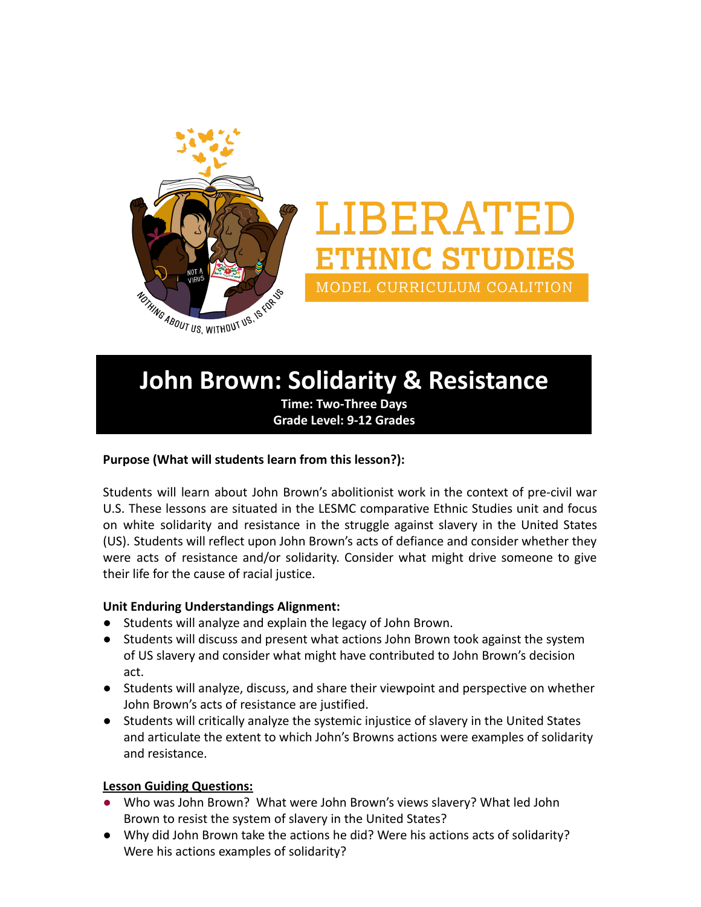

# LIBERATED **ETHNIC STUDIES** MODEL CURRICULUM COALITION

## **John Brown: Solidarity & Resistance**

**Time: Two-Three Days Grade Level: 9-12 Grades**

#### **Purpose (What will students learn from this lesson?):**

Students will learn about John Brown's abolitionist work in the context of pre-civil war U.S. These lessons are situated in the LESMC comparative Ethnic Studies unit and focus on white solidarity and resistance in the struggle against slavery in the United States (US). Students will reflect upon John Brown's acts of defiance and consider whether they were acts of resistance and/or solidarity. Consider what might drive someone to give their life for the cause of racial justice.

#### **Unit Enduring Understandings Alignment:**

- Students will analyze and explain the legacy of John Brown.
- Students will discuss and present what actions John Brown took against the system of US slavery and consider what might have contributed to John Brown's decision act.
- Students will analyze, discuss, and share their viewpoint and perspective on whether John Brown's acts of resistance are justified.
- Students will critically analyze the systemic injustice of slavery in the United States and articulate the extent to which John's Browns actions were examples of solidarity and resistance.

#### **Lesson Guiding Questions:**

- Who was John Brown? What were John Brown's views slavery? What led John Brown to resist the system of slavery in the United States?
- Why did John Brown take the actions he did? Were his actions acts of solidarity? Were his actions examples of solidarity?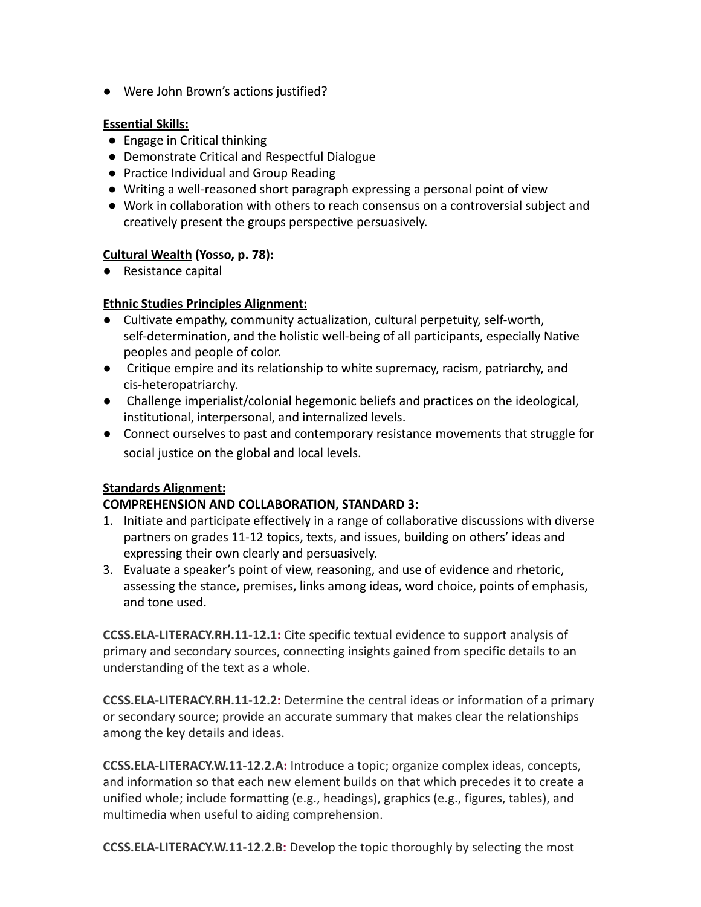● Were John Brown's actions justified?

#### **Essential Skills:**

- Engage in Critical thinking
- Demonstrate Critical and Respectful Dialogue
- Practice Individual and Group Reading
- Writing a well-reasoned short paragraph expressing a personal point of view
- Work in collaboration with others to reach consensus on a controversial subject and creatively present the groups perspective persuasively.

#### **[Cultural Wealth](https://drive.google.com/file/d/0B0c4WTZSk3sNNlJuV1NobldqTHc/view?usp=sharing) (Yosso, p. 78):**

● Resistance capital

#### **[Ethnic Studies Principles Alignment:](https://docs.google.com/document/d/1IXvC0GexzT95ptWjV8I5AMmghJ4ch0HQc_uOkKslPSU/edit?usp=sharing)**

- **●** Cultivate empathy, community actualization, cultural perpetuity, self-worth, self-determination, and the holistic well-being of all participants, especially Native peoples and people of color.
- **●** Critique empire and its relationship to white supremacy, racism, patriarchy, and cis-heteropatriarchy.
- **●** Challenge imperialist/colonial hegemonic beliefs and practices on the ideological, institutional, interpersonal, and internalized levels.
- Connect ourselves to past and contemporary resistance movements that struggle for social justice on the global and local levels.

#### **Standards Alignment:**

#### **COMPREHENSION AND COLLABORATION, STANDARD 3:**

- 1. Initiate and participate effectively in a range of collaborative discussions with diverse partners on grades 11-12 topics, texts, and issues, building on others' ideas and expressing their own clearly and persuasively.
- 3. Evaluate a speaker's point of view, reasoning, and use of evidence and rhetoric, assessing the stance, premises, links among ideas, word choice, points of emphasis, and tone used.

**[CCSS.ELA-LITERACY.RH.11-12.1](http://www.corestandards.org/ELA-Literacy/RH/11-12/1/):** Cite specific textual evidence to support analysis of primary and secondary sources, connecting insights gained from specific details to an understanding of the text as a whole.

**[CCSS.ELA-LITERACY.RH.11-12.2](http://www.corestandards.org/ELA-Literacy/RH/11-12/2/):** Determine the central ideas or information of a primary or secondary source; provide an accurate summary that makes clear the relationships among the key details and ideas.

**[CCSS.ELA-LITERACY.W.11-12.2.A:](http://www.corestandards.org/ELA-Literacy/W/11-12/2/a/)** Introduce a topic; organize complex ideas, concepts, and information so that each new element builds on that which precedes it to create a unified whole; include formatting (e.g., headings), graphics (e.g., figures, tables), and multimedia when useful to aiding comprehension.

**[CCSS.ELA-LITERACY.W.11-12.2.B](http://www.corestandards.org/ELA-Literacy/W/11-12/2/b/):** Develop the topic thoroughly by selecting the most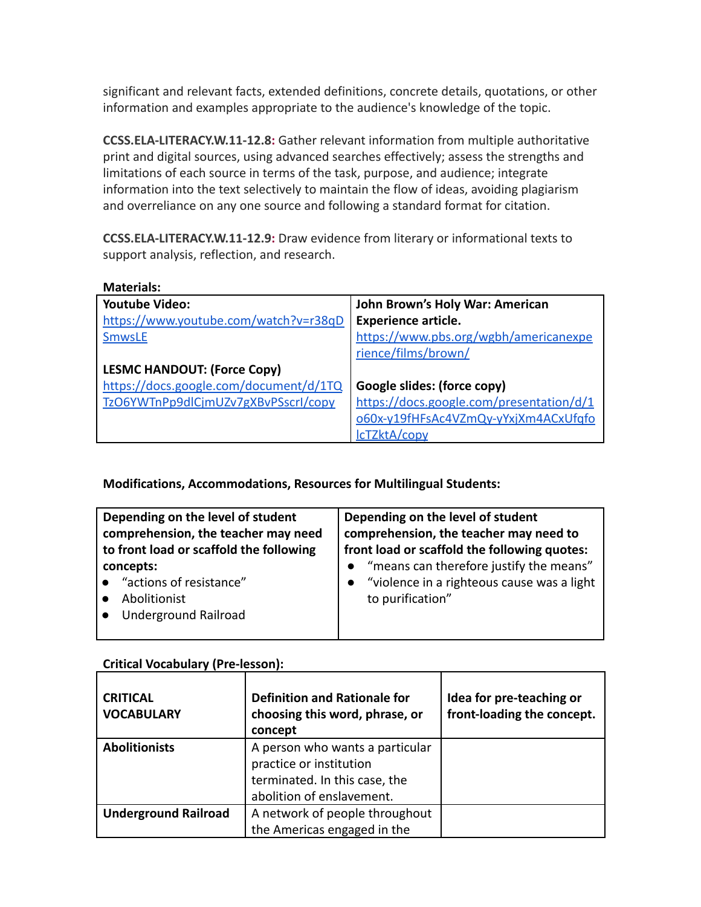significant and relevant facts, extended definitions, concrete details, quotations, or other information and examples appropriate to the audience's knowledge of the topic.

**[CCSS.ELA-LITERACY.W.11-12.8](http://www.corestandards.org/ELA-Literacy/W/11-12/8/):** Gather relevant information from multiple authoritative print and digital sources, using advanced searches effectively; assess the strengths and limitations of each source in terms of the task, purpose, and audience; integrate information into the text selectively to maintain the flow of ideas, avoiding plagiarism and overreliance on any one source and following a standard format for citation.

**[CCSS.ELA-LITERACY.W.11-12.9](http://www.corestandards.org/ELA-Literacy/W/11-12/9/):** Draw evidence from literary or informational texts to support analysis, reflection, and research.

| <b>Materials:</b>                      |                                          |
|----------------------------------------|------------------------------------------|
| <b>Youtube Video:</b>                  | John Brown's Holy War: American          |
| https://www.youtube.com/watch?v=r38qD  | Experience article.                      |
| <b>SmwsLE</b>                          | https://www.pbs.org/wgbh/americanexpe    |
|                                        | rience/films/brown/                      |
| <b>LESMC HANDOUT: (Force Copy)</b>     |                                          |
| https://docs.google.com/document/d/1TQ | Google slides: (force copy)              |
| TzO6YWTnPp9dlCjmUZv7gXBvPSscrI/copy    | https://docs.google.com/presentation/d/1 |
|                                        | o60x-y19fHFsAc4VZmQy-yYxjXm4ACxUfqfo     |
|                                        | IcTZktA/copy                             |

#### **Modifications, Accommodations, Resources for Multilingual Students:**

| Depending on the level of student                                        | Depending on the level of student                              |
|--------------------------------------------------------------------------|----------------------------------------------------------------|
| comprehension, the teacher may need                                      | comprehension, the teacher may need to                         |
| to front load or scaffold the following                                  | front load or scaffold the following quotes:                   |
| concepts:                                                                | • "means can therefore justify the means"                      |
| • "actions of resistance"<br>Abolitionist<br><b>Underground Railroad</b> | "violence in a righteous cause was a light<br>to purification" |

### **Critical Vocabulary (Pre-lesson):**

| <b>CRITICAL</b><br><b>VOCABULARY</b> | <b>Definition and Rationale for</b><br>choosing this word, phrase, or<br>concept | Idea for pre-teaching or<br>front-loading the concept. |
|--------------------------------------|----------------------------------------------------------------------------------|--------------------------------------------------------|
| <b>Abolitionists</b>                 | A person who wants a particular<br>practice or institution                       |                                                        |
|                                      | terminated. In this case, the<br>abolition of enslavement.                       |                                                        |
| <b>Underground Railroad</b>          | A network of people throughout                                                   |                                                        |
|                                      | the Americas engaged in the                                                      |                                                        |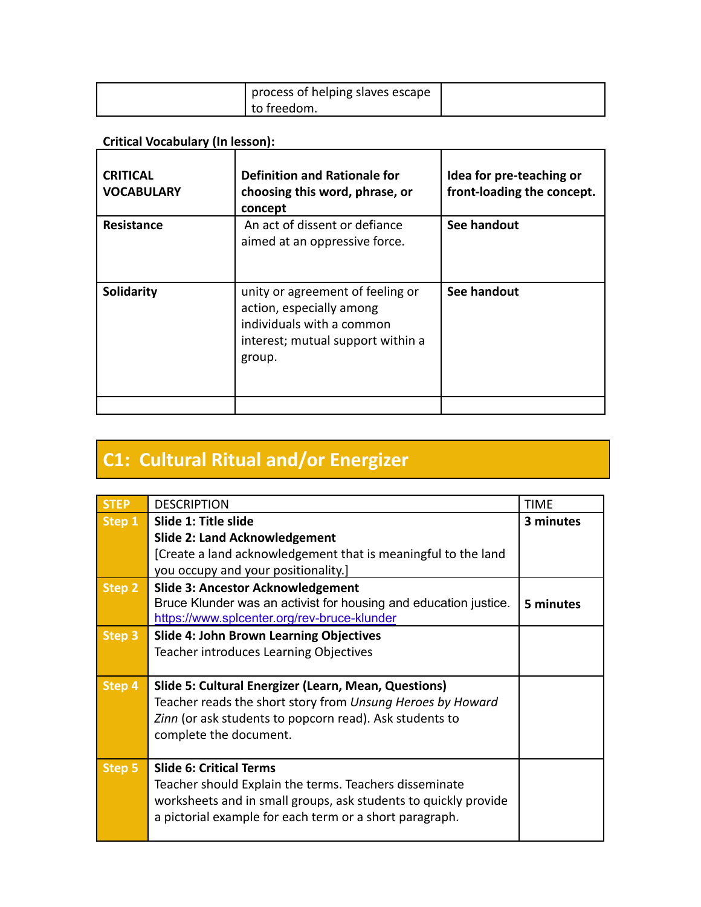| process of helping slaves escape |  |
|----------------------------------|--|
| ' to freedom.                    |  |

### **Critical Vocabulary (In lesson):**

| <b>CRITICAL</b><br><b>VOCABULARY</b> | <b>Definition and Rationale for</b><br>choosing this word, phrase, or<br>concept                                                         | Idea for pre-teaching or<br>front-loading the concept. |
|--------------------------------------|------------------------------------------------------------------------------------------------------------------------------------------|--------------------------------------------------------|
| Resistance                           | An act of dissent or defiance<br>aimed at an oppressive force.                                                                           | See handout                                            |
| Solidarity                           | unity or agreement of feeling or<br>action, especially among<br>individuals with a common<br>interest; mutual support within a<br>group. | See handout                                            |
|                                      |                                                                                                                                          |                                                        |

## **C1: Cultural Ritual and/or Energizer**

| <b>STFP</b> | <b>DESCRIPTION</b>                                               | <b>TIME</b> |
|-------------|------------------------------------------------------------------|-------------|
| Step 1      | Slide 1: Title slide                                             | 3 minutes   |
|             | <b>Slide 2: Land Acknowledgement</b>                             |             |
|             | [Create a land acknowledgement that is meaningful to the land    |             |
|             | you occupy and your positionality.]                              |             |
| Step 2      | <b>Slide 3: Ancestor Acknowledgement</b>                         |             |
|             | Bruce Klunder was an activist for housing and education justice. | 5 minutes   |
|             | https://www.splcenter.org/rev-bruce-klunder                      |             |
| Step 3      | <b>Slide 4: John Brown Learning Objectives</b>                   |             |
|             | Teacher introduces Learning Objectives                           |             |
|             |                                                                  |             |
| Step 4      | Slide 5: Cultural Energizer (Learn, Mean, Questions)             |             |
|             | Teacher reads the short story from Unsung Heroes by Howard       |             |
|             | Zinn (or ask students to popcorn read). Ask students to          |             |
|             | complete the document.                                           |             |
|             |                                                                  |             |
| Step 5      | <b>Slide 6: Critical Terms</b>                                   |             |
|             | Teacher should Explain the terms. Teachers disseminate           |             |
|             | worksheets and in small groups, ask students to quickly provide  |             |
|             | a pictorial example for each term or a short paragraph.          |             |
|             |                                                                  |             |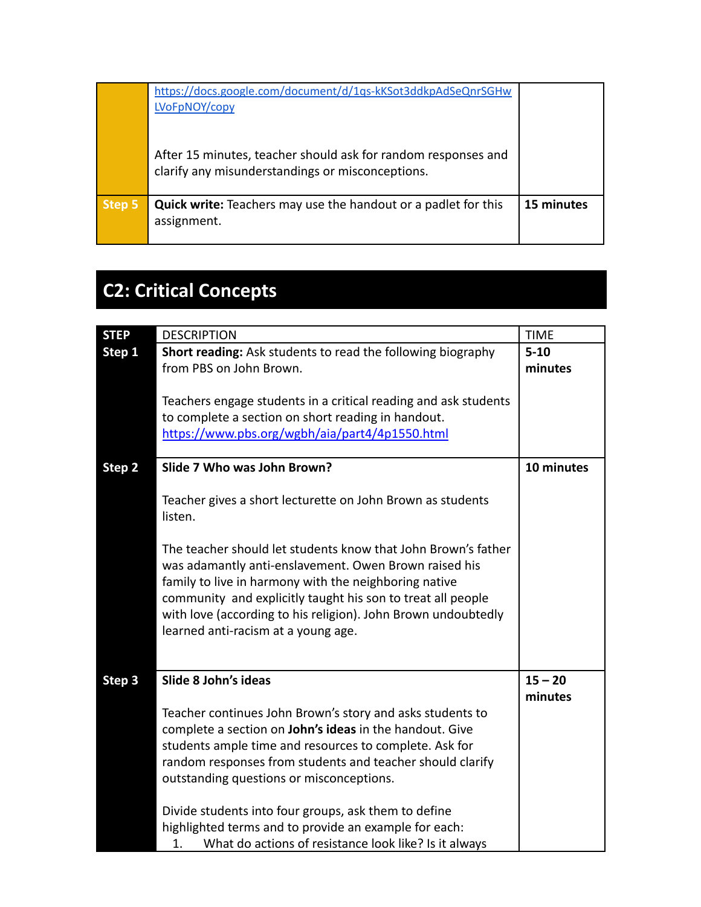|        | https://docs.google.com/document/d/1qs-kKSot3ddkpAdSeQnrSGHw<br>LVoFpNOY/copy                                     |            |
|--------|-------------------------------------------------------------------------------------------------------------------|------------|
|        | After 15 minutes, teacher should ask for random responses and<br>clarify any misunderstandings or misconceptions. |            |
| Step 5 | <b>Quick write:</b> Teachers may use the handout or a padlet for this<br>assignment.                              | 15 minutes |

## **C2: Critical Concepts**

| <b>STEP</b> | <b>DESCRIPTION</b>                                                                                                                                                                                                                                                                                                                                     | <b>TIME</b>          |
|-------------|--------------------------------------------------------------------------------------------------------------------------------------------------------------------------------------------------------------------------------------------------------------------------------------------------------------------------------------------------------|----------------------|
| Step 1      | Short reading: Ask students to read the following biography<br>from PBS on John Brown.<br>Teachers engage students in a critical reading and ask students                                                                                                                                                                                              | $5 - 10$<br>minutes  |
|             | to complete a section on short reading in handout.<br>https://www.pbs.org/wgbh/aia/part4/4p1550.html                                                                                                                                                                                                                                                   |                      |
| Step 2      | Slide 7 Who was John Brown?                                                                                                                                                                                                                                                                                                                            | 10 minutes           |
|             | Teacher gives a short lecturette on John Brown as students<br>listen.                                                                                                                                                                                                                                                                                  |                      |
|             | The teacher should let students know that John Brown's father<br>was adamantly anti-enslavement. Owen Brown raised his<br>family to live in harmony with the neighboring native<br>community and explicitly taught his son to treat all people<br>with love (according to his religion). John Brown undoubtedly<br>learned anti-racism at a young age. |                      |
| Step 3      | Slide 8 John's ideas                                                                                                                                                                                                                                                                                                                                   | $15 - 20$<br>minutes |
|             | Teacher continues John Brown's story and asks students to<br>complete a section on John's ideas in the handout. Give<br>students ample time and resources to complete. Ask for<br>random responses from students and teacher should clarify<br>outstanding questions or misconceptions.                                                                |                      |
|             | Divide students into four groups, ask them to define<br>highlighted terms and to provide an example for each:<br>What do actions of resistance look like? Is it always<br>1.                                                                                                                                                                           |                      |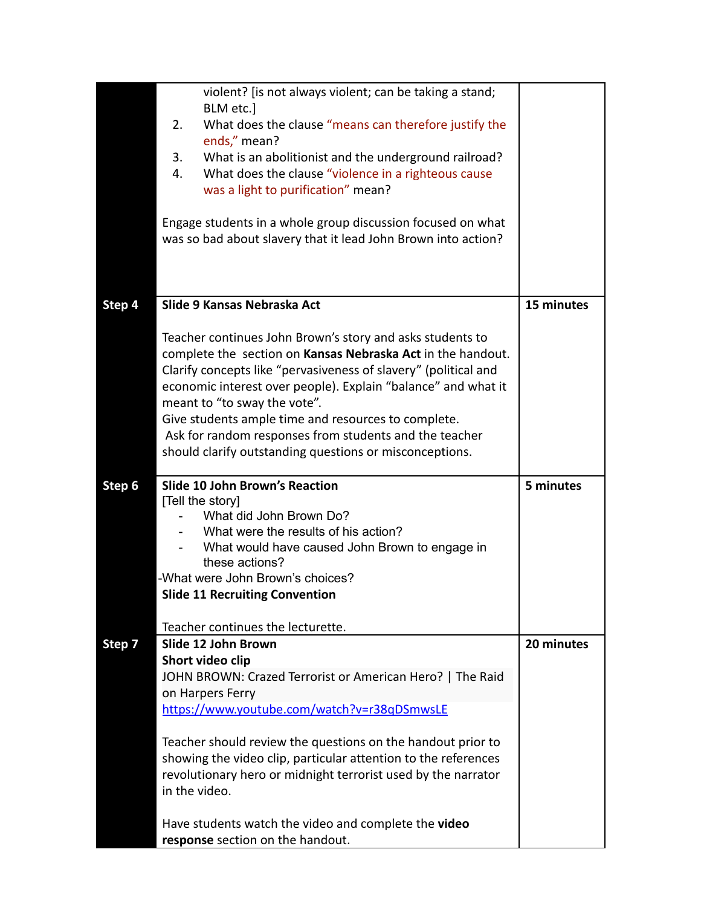|        | violent? [is not always violent; can be taking a stand;                                                                  |            |
|--------|--------------------------------------------------------------------------------------------------------------------------|------------|
|        | BLM etc.]                                                                                                                |            |
|        | What does the clause "means can therefore justify the<br>2.                                                              |            |
|        | ends," mean?<br>What is an abolitionist and the underground railroad?<br>3.                                              |            |
|        | What does the clause "violence in a righteous cause<br>4.                                                                |            |
|        | was a light to purification" mean?                                                                                       |            |
|        |                                                                                                                          |            |
|        | Engage students in a whole group discussion focused on what                                                              |            |
|        | was so bad about slavery that it lead John Brown into action?                                                            |            |
|        |                                                                                                                          |            |
|        |                                                                                                                          |            |
|        |                                                                                                                          |            |
| Step 4 | Slide 9 Kansas Nebraska Act                                                                                              | 15 minutes |
|        |                                                                                                                          |            |
|        | Teacher continues John Brown's story and asks students to<br>complete the section on Kansas Nebraska Act in the handout. |            |
|        | Clarify concepts like "pervasiveness of slavery" (political and                                                          |            |
|        | economic interest over people). Explain "balance" and what it                                                            |            |
|        | meant to "to sway the vote".                                                                                             |            |
|        | Give students ample time and resources to complete.                                                                      |            |
|        | Ask for random responses from students and the teacher                                                                   |            |
|        | should clarify outstanding questions or misconceptions.                                                                  |            |
|        |                                                                                                                          |            |
|        |                                                                                                                          |            |
| Step 6 | <b>Slide 10 John Brown's Reaction</b>                                                                                    | 5 minutes  |
|        | [Tell the story]                                                                                                         |            |
|        | What did John Brown Do?                                                                                                  |            |
|        | What were the results of his action?                                                                                     |            |
|        | What would have caused John Brown to engage in<br>these actions?                                                         |            |
|        | -What were John Brown's choices?                                                                                         |            |
|        | <b>Slide 11 Recruiting Convention</b>                                                                                    |            |
|        |                                                                                                                          |            |
|        | Teacher continues the lecturette.                                                                                        |            |
| Step 7 | Slide 12 John Brown                                                                                                      | 20 minutes |
|        | Short video clip                                                                                                         |            |
|        | JOHN BROWN: Crazed Terrorist or American Hero?   The Raid                                                                |            |
|        | on Harpers Ferry<br>https://www.youtube.com/watch?v=r38qDSmwsLE                                                          |            |
|        |                                                                                                                          |            |
|        | Teacher should review the questions on the handout prior to                                                              |            |
|        | showing the video clip, particular attention to the references                                                           |            |
|        | revolutionary hero or midnight terrorist used by the narrator                                                            |            |
|        | in the video.                                                                                                            |            |
|        | Have students watch the video and complete the video                                                                     |            |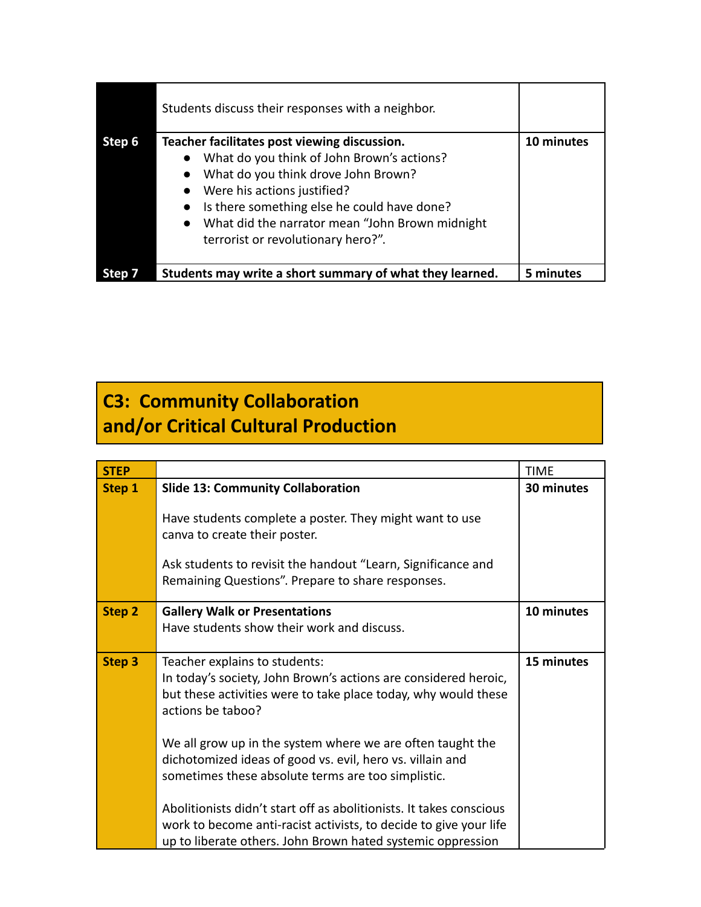|        | Students discuss their responses with a neighbor.                                                                                                                                                       |            |
|--------|---------------------------------------------------------------------------------------------------------------------------------------------------------------------------------------------------------|------------|
| Step 6 | Teacher facilitates post viewing discussion.<br>What do you think of John Brown's actions?<br>$\bullet$<br>What do you think drove John Brown?<br>$\bullet$<br>Were his actions justified?<br>$\bullet$ | 10 minutes |
|        | Is there something else he could have done?<br>$\bullet$<br>What did the narrator mean "John Brown midnight<br>$\bullet$<br>terrorist or revolutionary hero?".                                          |            |
|        | Students may write a short summary of what they learned.                                                                                                                                                | 5 minutes  |

## **C3: Community Collaboration and/or Critical Cultural Production**

| <b>STEP</b> |                                                                                                                                                                                                         | <b>TIME</b> |
|-------------|---------------------------------------------------------------------------------------------------------------------------------------------------------------------------------------------------------|-------------|
| Step 1      | <b>Slide 13: Community Collaboration</b>                                                                                                                                                                | 30 minutes  |
|             | Have students complete a poster. They might want to use<br>canva to create their poster.                                                                                                                |             |
|             | Ask students to revisit the handout "Learn, Significance and<br>Remaining Questions". Prepare to share responses.                                                                                       |             |
| Step 2      | <b>Gallery Walk or Presentations</b><br>Have students show their work and discuss.                                                                                                                      | 10 minutes  |
| Step 3      | Teacher explains to students:<br>In today's society, John Brown's actions are considered heroic,<br>but these activities were to take place today, why would these<br>actions be taboo?                 | 15 minutes  |
|             | We all grow up in the system where we are often taught the<br>dichotomized ideas of good vs. evil, hero vs. villain and<br>sometimes these absolute terms are too simplistic.                           |             |
|             | Abolitionists didn't start off as abolitionists. It takes conscious<br>work to become anti-racist activists, to decide to give your life<br>up to liberate others. John Brown hated systemic oppression |             |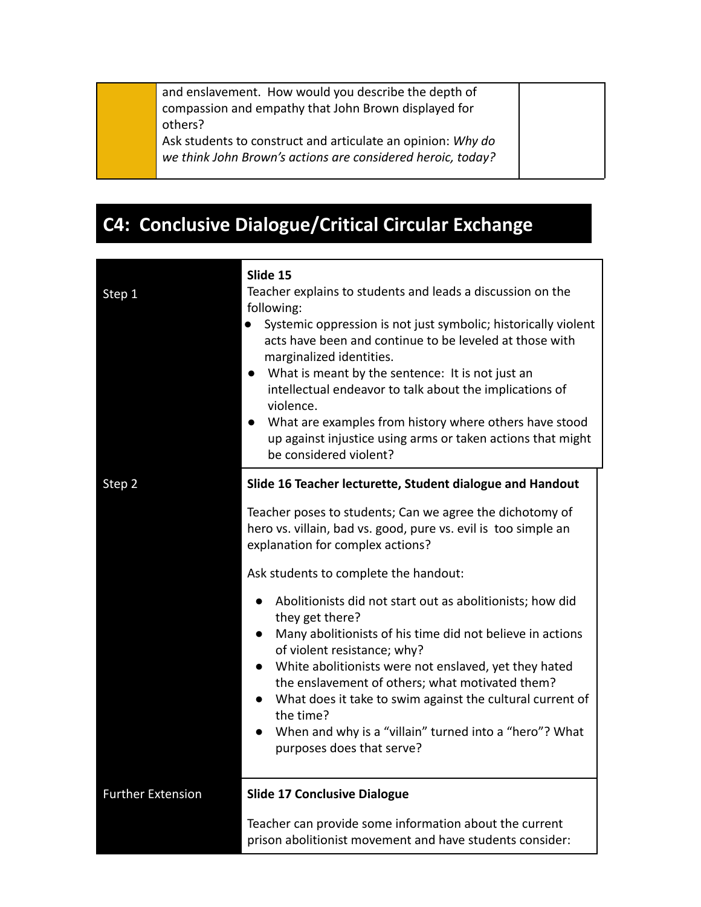and enslavement. How would you describe the depth of compassion and empathy that John Brown displayed for others?

Ask students to construct and articulate an opinion: *Why do we think John Brown's actions are considered heroic, today?*

## **C4: Conclusive Dialogue/Critical Circular Exchange**

| Step 1                   | Slide 15<br>Teacher explains to students and leads a discussion on the<br>following:<br>Systemic oppression is not just symbolic; historically violent<br>$\bullet$<br>acts have been and continue to be leveled at those with<br>marginalized identities.<br>What is meant by the sentence: It is not just an<br>$\bullet$<br>intellectual endeavor to talk about the implications of<br>violence.<br>What are examples from history where others have stood<br>up against injustice using arms or taken actions that might<br>be considered violent? |
|--------------------------|--------------------------------------------------------------------------------------------------------------------------------------------------------------------------------------------------------------------------------------------------------------------------------------------------------------------------------------------------------------------------------------------------------------------------------------------------------------------------------------------------------------------------------------------------------|
| Step 2                   | Slide 16 Teacher lecturette, Student dialogue and Handout                                                                                                                                                                                                                                                                                                                                                                                                                                                                                              |
|                          | Teacher poses to students; Can we agree the dichotomy of<br>hero vs. villain, bad vs. good, pure vs. evil is too simple an<br>explanation for complex actions?                                                                                                                                                                                                                                                                                                                                                                                         |
|                          | Ask students to complete the handout:                                                                                                                                                                                                                                                                                                                                                                                                                                                                                                                  |
|                          | Abolitionists did not start out as abolitionists; how did<br>they get there?<br>Many abolitionists of his time did not believe in actions<br>$\bullet$<br>of violent resistance; why?<br>White abolitionists were not enslaved, yet they hated<br>the enslavement of others; what motivated them?<br>What does it take to swim against the cultural current of<br>$\bullet$                                                                                                                                                                            |
|                          | the time?<br>When and why is a "villain" turned into a "hero"? What<br>purposes does that serve?                                                                                                                                                                                                                                                                                                                                                                                                                                                       |
| <b>Further Extension</b> | <b>Slide 17 Conclusive Dialogue</b>                                                                                                                                                                                                                                                                                                                                                                                                                                                                                                                    |
|                          | Teacher can provide some information about the current<br>prison abolitionist movement and have students consider:                                                                                                                                                                                                                                                                                                                                                                                                                                     |